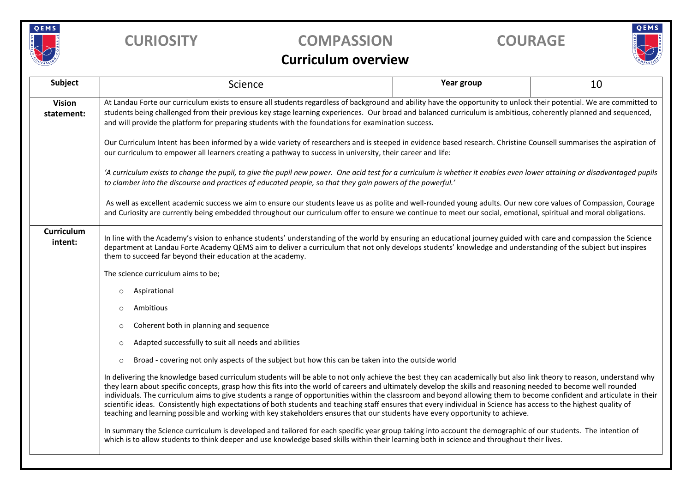

## **CURIOSITY COMPASSION COURAGE**

# QEMS

### **Curriculum overview**

| Subject                      | Science                                                                                                                                                                                                                                                                                                                                                                                                                                                                                                                                                                                                                                                                                                                                                                                                                | Year group | 10 |  |  |  |
|------------------------------|------------------------------------------------------------------------------------------------------------------------------------------------------------------------------------------------------------------------------------------------------------------------------------------------------------------------------------------------------------------------------------------------------------------------------------------------------------------------------------------------------------------------------------------------------------------------------------------------------------------------------------------------------------------------------------------------------------------------------------------------------------------------------------------------------------------------|------------|----|--|--|--|
| <b>Vision</b><br>statement:  | At Landau Forte our curriculum exists to ensure all students regardless of background and ability have the opportunity to unlock their potential. We are committed to<br>students being challenged from their previous key stage learning experiences. Our broad and balanced curriculum is ambitious, coherently planned and sequenced,<br>and will provide the platform for preparing students with the foundations for examination success.                                                                                                                                                                                                                                                                                                                                                                         |            |    |  |  |  |
|                              | Our Curriculum Intent has been informed by a wide variety of researchers and is steeped in evidence based research. Christine Counsell summarises the aspiration of<br>our curriculum to empower all learners creating a pathway to success in university, their career and life:                                                                                                                                                                                                                                                                                                                                                                                                                                                                                                                                      |            |    |  |  |  |
|                              | 'A curriculum exists to change the pupil, to give the pupil new power. One acid test for a curriculum is whether it enables even lower attaining or disadvantaged pupils<br>to clamber into the discourse and practices of educated people, so that they gain powers of the powerful.'                                                                                                                                                                                                                                                                                                                                                                                                                                                                                                                                 |            |    |  |  |  |
|                              | As well as excellent academic success we aim to ensure our students leave us as polite and well-rounded young adults. Our new core values of Compassion, Courage<br>and Curiosity are currently being embedded throughout our curriculum offer to ensure we continue to meet our social, emotional, spiritual and moral obligations.                                                                                                                                                                                                                                                                                                                                                                                                                                                                                   |            |    |  |  |  |
| <b>Curriculum</b><br>intent: | In line with the Academy's vision to enhance students' understanding of the world by ensuring an educational journey guided with care and compassion the Science<br>department at Landau Forte Academy QEMS aim to deliver a curriculum that not only develops students' knowledge and understanding of the subject but inspires<br>them to succeed far beyond their education at the academy.                                                                                                                                                                                                                                                                                                                                                                                                                         |            |    |  |  |  |
|                              | The science curriculum aims to be;                                                                                                                                                                                                                                                                                                                                                                                                                                                                                                                                                                                                                                                                                                                                                                                     |            |    |  |  |  |
|                              | Aspirational<br>$\circ$                                                                                                                                                                                                                                                                                                                                                                                                                                                                                                                                                                                                                                                                                                                                                                                                |            |    |  |  |  |
|                              | Ambitious<br>$\circ$                                                                                                                                                                                                                                                                                                                                                                                                                                                                                                                                                                                                                                                                                                                                                                                                   |            |    |  |  |  |
|                              | Coherent both in planning and sequence<br>$\circ$                                                                                                                                                                                                                                                                                                                                                                                                                                                                                                                                                                                                                                                                                                                                                                      |            |    |  |  |  |
|                              | Adapted successfully to suit all needs and abilities<br>$\circ$                                                                                                                                                                                                                                                                                                                                                                                                                                                                                                                                                                                                                                                                                                                                                        |            |    |  |  |  |
|                              | Broad - covering not only aspects of the subject but how this can be taken into the outside world<br>$\circ$                                                                                                                                                                                                                                                                                                                                                                                                                                                                                                                                                                                                                                                                                                           |            |    |  |  |  |
|                              | In delivering the knowledge based curriculum students will be able to not only achieve the best they can academically but also link theory to reason, understand why<br>they learn about specific concepts, grasp how this fits into the world of careers and ultimately develop the skills and reasoning needed to become well rounded<br>individuals. The curriculum aims to give students a range of opportunities within the classroom and beyond allowing them to become confident and articulate in their<br>scientific ideas. Consistently high expectations of both students and teaching staff ensures that every individual in Science has access to the highest quality of<br>teaching and learning possible and working with key stakeholders ensures that our students have every opportunity to achieve. |            |    |  |  |  |
|                              | In summary the Science curriculum is developed and tailored for each specific year group taking into account the demographic of our students. The intention of<br>which is to allow students to think deeper and use knowledge based skills within their learning both in science and throughout their lives.                                                                                                                                                                                                                                                                                                                                                                                                                                                                                                          |            |    |  |  |  |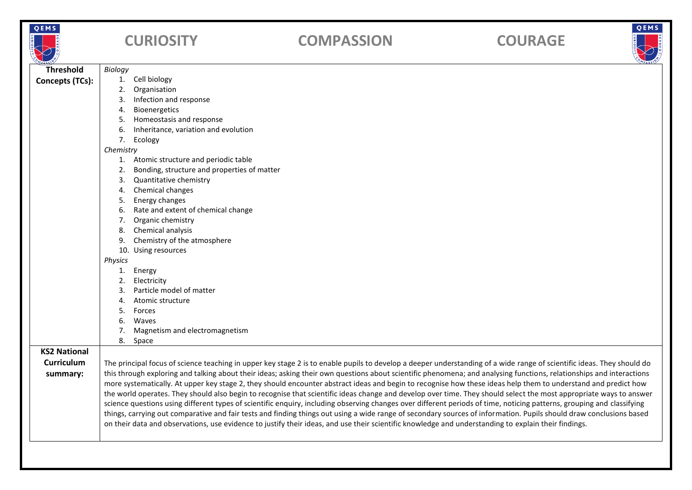|   | Е |  |            |  |
|---|---|--|------------|--|
| Ξ |   |  | u<br>n u R |  |

# **CURIOSITY COMPASSION COURAGE**





| OMPASSION           |                                                                                                                                                                      |                                                                                                                                                                        | OMPASS |  |
|---------------------|----------------------------------------------------------------------------------------------------------------------------------------------------------------------|------------------------------------------------------------------------------------------------------------------------------------------------------------------------|--------|--|
| <b>Threshold</b>    | Biology                                                                                                                                                              |                                                                                                                                                                        |        |  |
| Concepts (TCs):     | 1.                                                                                                                                                                   | Cell biology                                                                                                                                                           |        |  |
|                     | 2.                                                                                                                                                                   | Organisation                                                                                                                                                           |        |  |
|                     | 3.                                                                                                                                                                   | Infection and response                                                                                                                                                 |        |  |
|                     | 4.                                                                                                                                                                   | Bioenergetics                                                                                                                                                          |        |  |
|                     | 5.                                                                                                                                                                   | Homeostasis and response                                                                                                                                               |        |  |
|                     | 6.                                                                                                                                                                   | Inheritance, variation and evolution                                                                                                                                   |        |  |
|                     |                                                                                                                                                                      | 7. Ecology                                                                                                                                                             |        |  |
|                     | Chemistry                                                                                                                                                            |                                                                                                                                                                        |        |  |
|                     | 1.                                                                                                                                                                   | Atomic structure and periodic table                                                                                                                                    |        |  |
|                     | 2.                                                                                                                                                                   | Bonding, structure and properties of matter                                                                                                                            |        |  |
|                     | 3.                                                                                                                                                                   | Quantitative chemistry                                                                                                                                                 |        |  |
|                     | 4.                                                                                                                                                                   | Chemical changes                                                                                                                                                       |        |  |
|                     | 5.                                                                                                                                                                   | Energy changes                                                                                                                                                         |        |  |
|                     | 6.                                                                                                                                                                   | Rate and extent of chemical change                                                                                                                                     |        |  |
|                     | 7.                                                                                                                                                                   | Organic chemistry                                                                                                                                                      |        |  |
|                     | 8.                                                                                                                                                                   | Chemical analysis                                                                                                                                                      |        |  |
|                     | 9.                                                                                                                                                                   | Chemistry of the atmosphere                                                                                                                                            |        |  |
|                     |                                                                                                                                                                      | 10. Using resources                                                                                                                                                    |        |  |
|                     | Physics                                                                                                                                                              |                                                                                                                                                                        |        |  |
|                     | 1.                                                                                                                                                                   | Energy                                                                                                                                                                 |        |  |
|                     | 2.                                                                                                                                                                   | Electricity                                                                                                                                                            |        |  |
|                     | 3.                                                                                                                                                                   | Particle model of matter                                                                                                                                               |        |  |
|                     | 4.                                                                                                                                                                   | Atomic structure                                                                                                                                                       |        |  |
|                     | 5.                                                                                                                                                                   | Forces                                                                                                                                                                 |        |  |
|                     | 6.                                                                                                                                                                   | Waves                                                                                                                                                                  |        |  |
|                     | 7.                                                                                                                                                                   | Magnetism and electromagnetism                                                                                                                                         |        |  |
|                     |                                                                                                                                                                      | 8. Space                                                                                                                                                               |        |  |
| <b>KS2 National</b> |                                                                                                                                                                      |                                                                                                                                                                        |        |  |
| <b>Curriculum</b>   |                                                                                                                                                                      | The principal focus of science teaching in upper key stage 2 is to enable pupils to develop a deeper understanding of a wide range of scientific ideas. They should do |        |  |
| summary:            | this through exploring and talking about their ideas; asking their own questions about scientific phenomena; and analysing functions, relationships and interactions |                                                                                                                                                                        |        |  |
|                     | more systematically. At upper key stage 2, they should encounter abstract ideas and begin to recognise how these ideas help them to understand and predict how       |                                                                                                                                                                        |        |  |
|                     | the world operates. They should also begin to recognise that scientific ideas change and develop over time. They should select the most appropriate ways to answer   |                                                                                                                                                                        |        |  |
|                     |                                                                                                                                                                      | science questions using different types of scientific enquiry, including observing changes over different periods of time, noticing patterns, grouping and classifying |        |  |
|                     |                                                                                                                                                                      | things, carrying out comparative and fair tests and finding things out using a wide range of secondary sources of information. Pupils should draw conclusions based    |        |  |
|                     |                                                                                                                                                                      | on their data and observations, use evidence to justify their ideas, and use their scientific knowledge and understanding to explain their findings.                   |        |  |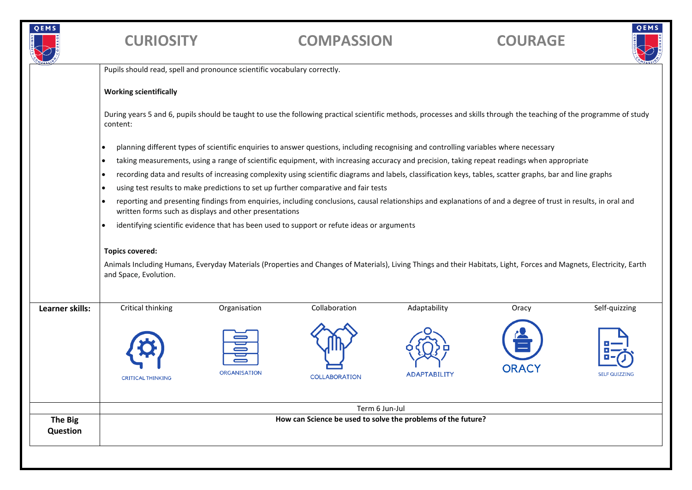

## **CURIOSITY COMPASSION COURAGE**



|                 | Pupils should read, spell and pronounce scientific vocabulary correctly. |                                                        |                                                                                                                                                                      |                     |              |                      |
|-----------------|--------------------------------------------------------------------------|--------------------------------------------------------|----------------------------------------------------------------------------------------------------------------------------------------------------------------------|---------------------|--------------|----------------------|
|                 | <b>Working scientifically</b>                                            |                                                        |                                                                                                                                                                      |                     |              |                      |
|                 | content:                                                                 |                                                        | During years 5 and 6, pupils should be taught to use the following practical scientific methods, processes and skills through the teaching of the programme of study |                     |              |                      |
|                 |                                                                          |                                                        | planning different types of scientific enquiries to answer questions, including recognising and controlling variables where necessary                                |                     |              |                      |
|                 | $\bullet$                                                                |                                                        | taking measurements, using a range of scientific equipment, with increasing accuracy and precision, taking repeat readings when appropriate                          |                     |              |                      |
|                 | $\bullet$                                                                |                                                        | recording data and results of increasing complexity using scientific diagrams and labels, classification keys, tables, scatter graphs, bar and line graphs           |                     |              |                      |
|                 |                                                                          |                                                        | using test results to make predictions to set up further comparative and fair tests                                                                                  |                     |              |                      |
|                 |                                                                          | written forms such as displays and other presentations | reporting and presenting findings from enquiries, including conclusions, causal relationships and explanations of and a degree of trust in results, in oral and      |                     |              |                      |
|                 |                                                                          |                                                        |                                                                                                                                                                      |                     |              |                      |
|                 |                                                                          |                                                        | identifying scientific evidence that has been used to support or refute ideas or arguments                                                                           |                     |              |                      |
|                 | <b>Topics covered:</b>                                                   |                                                        |                                                                                                                                                                      |                     |              |                      |
|                 | and Space, Evolution.                                                    |                                                        | Animals Including Humans, Everyday Materials (Properties and Changes of Materials), Living Things and their Habitats, Light, Forces and Magnets, Electricity, Earth  |                     |              |                      |
|                 | Critical thinking                                                        | Organisation                                           | Collaboration                                                                                                                                                        | Adaptability        | Oracy        | Self-quizzing        |
| Learner skills: | <b>CRITICAL THINKING</b>                                                 | <b>ORGANISATION</b>                                    | <b>COLLABORATION</b>                                                                                                                                                 | <b>ADAPTABILITY</b> | <b>ORACY</b> | <b>SELF QUIZZING</b> |
|                 |                                                                          |                                                        | Term 6 Jun-Jul<br>How can Science be used to solve the problems of the future?                                                                                       |                     |              |                      |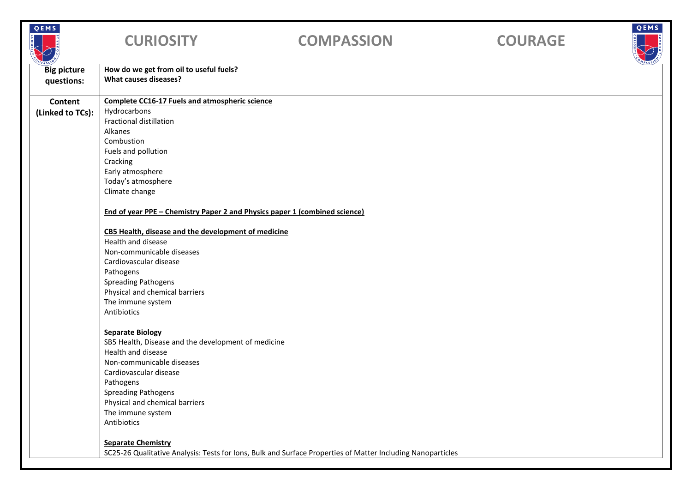| QEMS                             | <b>CURIOSITY</b>                                                           | <b>COMPASSION</b>                                                                                           | <b>COURAGE</b> | QEMS |
|----------------------------------|----------------------------------------------------------------------------|-------------------------------------------------------------------------------------------------------------|----------------|------|
| <b>Big picture</b><br>questions: | How do we get from oil to useful fuels?<br>What causes diseases?           |                                                                                                             |                |      |
| Content                          | <b>Complete CC16-17 Fuels and atmospheric science</b>                      |                                                                                                             |                |      |
| (Linked to TCs):                 | Hydrocarbons<br><b>Fractional distillation</b><br>Alkanes                  |                                                                                                             |                |      |
|                                  | Combustion<br>Fuels and pollution                                          |                                                                                                             |                |      |
|                                  | Cracking<br>Early atmosphere<br>Today's atmosphere                         |                                                                                                             |                |      |
|                                  | Climate change                                                             |                                                                                                             |                |      |
|                                  | End of year PPE - Chemistry Paper 2 and Physics paper 1 (combined science) |                                                                                                             |                |      |
|                                  | CB5 Health, disease and the development of medicine<br>Health and disease  |                                                                                                             |                |      |
|                                  | Non-communicable diseases                                                  |                                                                                                             |                |      |
|                                  | Cardiovascular disease                                                     |                                                                                                             |                |      |
|                                  | Pathogens                                                                  |                                                                                                             |                |      |
|                                  | <b>Spreading Pathogens</b>                                                 |                                                                                                             |                |      |
|                                  | Physical and chemical barriers<br>The immune system                        |                                                                                                             |                |      |
|                                  | Antibiotics                                                                |                                                                                                             |                |      |
|                                  |                                                                            |                                                                                                             |                |      |
|                                  | <b>Separate Biology</b>                                                    |                                                                                                             |                |      |
|                                  | SB5 Health, Disease and the development of medicine<br>Health and disease  |                                                                                                             |                |      |
|                                  | Non-communicable diseases                                                  |                                                                                                             |                |      |
|                                  | Cardiovascular disease                                                     |                                                                                                             |                |      |
|                                  | Pathogens                                                                  |                                                                                                             |                |      |
|                                  | <b>Spreading Pathogens</b>                                                 |                                                                                                             |                |      |
|                                  | Physical and chemical barriers                                             |                                                                                                             |                |      |
|                                  | The immune system                                                          |                                                                                                             |                |      |
|                                  | Antibiotics                                                                |                                                                                                             |                |      |
|                                  | <b>Separate Chemistry</b>                                                  |                                                                                                             |                |      |
|                                  |                                                                            | SC25-26 Qualitative Analysis: Tests for Ions, Bulk and Surface Properties of Matter Including Nanoparticles |                |      |
|                                  |                                                                            |                                                                                                             |                |      |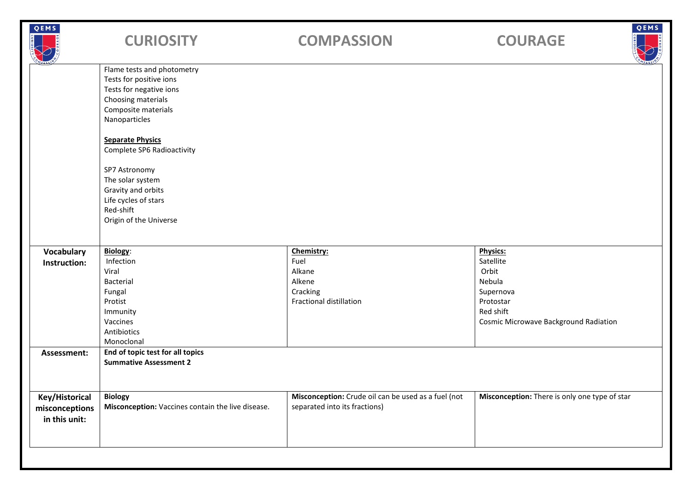| QEMS                                              | <b>CURIOSITY</b>                                                                                                                               | <b>COMPASSION</b>                                                                    | QEMS<br><b>COURAGE</b>                                                                                                                 |
|---------------------------------------------------|------------------------------------------------------------------------------------------------------------------------------------------------|--------------------------------------------------------------------------------------|----------------------------------------------------------------------------------------------------------------------------------------|
|                                                   | Flame tests and photometry<br>Tests for positive ions<br>Tests for negative ions<br>Choosing materials<br>Composite materials<br>Nanoparticles |                                                                                      |                                                                                                                                        |
|                                                   | <b>Separate Physics</b><br>Complete SP6 Radioactivity                                                                                          |                                                                                      |                                                                                                                                        |
|                                                   | SP7 Astronomy<br>The solar system<br>Gravity and orbits<br>Life cycles of stars<br>Red-shift<br>Origin of the Universe                         |                                                                                      |                                                                                                                                        |
|                                                   |                                                                                                                                                |                                                                                      |                                                                                                                                        |
| <b>Vocabulary</b><br>Instruction:                 | <b>Biology:</b><br>Infection<br>Viral<br>Bacterial<br>Fungal<br>Protist<br>Immunity<br>Vaccines<br>Antibiotics<br>Monoclonal                   | Chemistry:<br>Fuel<br>Alkane<br>Alkene<br>Cracking<br><b>Fractional distillation</b> | <b>Physics:</b><br>Satellite<br>Orbit<br>Nebula<br>Supernova<br>Protostar<br>Red shift<br><b>Cosmic Microwave Background Radiation</b> |
| Assessment:                                       | End of topic test for all topics<br><b>Summative Assessment 2</b>                                                                              |                                                                                      |                                                                                                                                        |
| Key/Historical<br>misconceptions<br>in this unit: | <b>Biology</b><br>Misconception: Vaccines contain the live disease.                                                                            | Misconception: Crude oil can be used as a fuel (not<br>separated into its fractions) | Misconception: There is only one type of star                                                                                          |
|                                                   |                                                                                                                                                |                                                                                      |                                                                                                                                        |